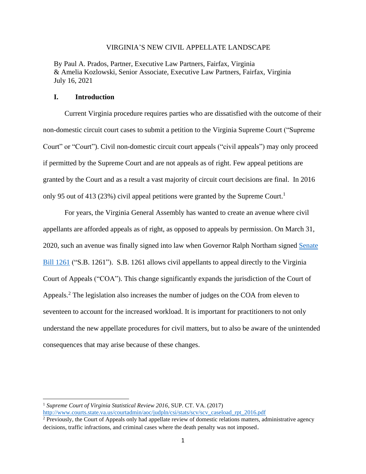# VIRGINIA'S NEW CIVIL APPELLATE LANDSCAPE

By Paul A. Prados, Partner, Executive Law Partners, Fairfax, Virginia & Amelia Kozlowski, Senior Associate, Executive Law Partners, Fairfax, Virginia July 16, 2021

#### **I. Introduction**

Current Virginia procedure requires parties who are dissatisfied with the outcome of their non-domestic circuit court cases to submit a petition to the Virginia Supreme Court ("Supreme Court" or "Court"). Civil non-domestic circuit court appeals ("civil appeals") may only proceed if permitted by the Supreme Court and are not appeals as of right. Few appeal petitions are granted by the Court and as a result a vast majority of circuit court decisions are final. In 2016 only 95 out of 413 (23%) civil appeal petitions were granted by the Supreme Court.<sup>1</sup>

For years, the Virginia General Assembly has wanted to create an avenue where civil appellants are afforded appeals as of right, as opposed to appeals by permission. On March 31, 2020, such an avenue was finally signed into law when Governor Ralph Northam signed [Senate](https://lis.virginia.gov/cgi-bin/legp604.exe?212+ful+CHAP0489)  [Bill 1261](https://lis.virginia.gov/cgi-bin/legp604.exe?212+ful+CHAP0489) ("S.B. 1261"). S.B. 1261 allows civil appellants to appeal directly to the Virginia Court of Appeals ("COA"). This change significantly expands the jurisdiction of the Court of Appeals.<sup>2</sup> The legislation also increases the number of judges on the COA from eleven to seventeen to account for the increased workload. It is important for practitioners to not only understand the new appellate procedures for civil matters, but to also be aware of the unintended consequences that may arise because of these changes.

<sup>&</sup>lt;sup>1</sup> Supreme Court of Virginia Statistical Review 2016, SUP. CT. VA. (2017) [http://www.courts.state.va.us/courtadmin/aoc/judpln/csi/stats/scv/scv\\_caseload\\_rpt\\_2016.pdf](http://www.courts.state.va.us/courtadmin/aoc/judpln/csi/stats/scv/scv_caseload_rpt_2016.pdf)

<sup>&</sup>lt;sup>2</sup> Previously, the Court of Appeals only had appellate review of domestic relations matters, administrative agency decisions, traffic infractions, and criminal cases where the death penalty was not imposed.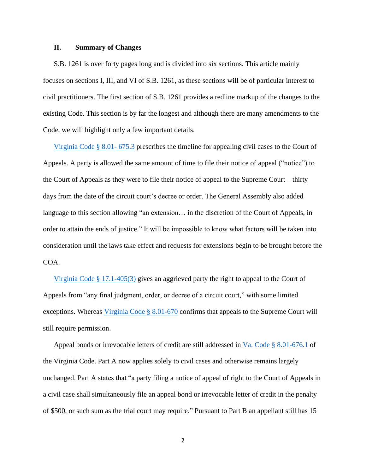# **II. Summary of Changes**

S.B. 1261 is over forty pages long and is divided into six sections. This article mainly focuses on sections I, III, and VI of S.B. 1261, as these sections will be of particular interest to civil practitioners. The first section of S.B. 1261 provides a redline markup of the changes to the existing Code. This section is by far the longest and although there are many amendments to the Code, we will highlight only a few important details.

[Virginia Code §](https://law.lis.virginia.gov/vacode/8.01-675.3/) 8.01- 675.3 prescribes the timeline for appealing civil cases to the Court of Appeals. A party is allowed the same amount of time to file their notice of appeal ("notice") to the Court of Appeals as they were to file their notice of appeal to the Supreme Court – thirty days from the date of the circuit court's decree or order. The General Assembly also added language to this section allowing "an extension… in the discretion of the Court of Appeals, in order to attain the ends of justice." It will be impossible to know what factors will be taken into consideration until the laws take effect and requests for extensions begin to be brought before the COA.

[Virginia Code § 17.1-405\(3\)](https://law.lis.virginia.gov/vacode/17.1-405/) gives an aggrieved party the right to appeal to the Court of Appeals from "any final judgment, order, or decree of a circuit court," with some limited exceptions. Whereas [Virginia Code § 8.01-670](https://law.lis.virginia.gov/vacode/title8.01/chapter26/section8.01-670/) confirms that appeals to the Supreme Court will still require permission.

Appeal bonds or irrevocable letters of credit are still addressed in Va. Code § [8.01-676.1](https://law.lis.virginia.gov/vacode/title8.01/chapter26.2/section8.01-676.1/) of the Virginia Code. Part A now applies solely to civil cases and otherwise remains largely unchanged. Part A states that "a party filing a notice of appeal of right to the Court of Appeals in a civil case shall simultaneously file an appeal bond or irrevocable letter of credit in the penalty of \$500, or such sum as the trial court may require." Pursuant to Part B an appellant still has 15

2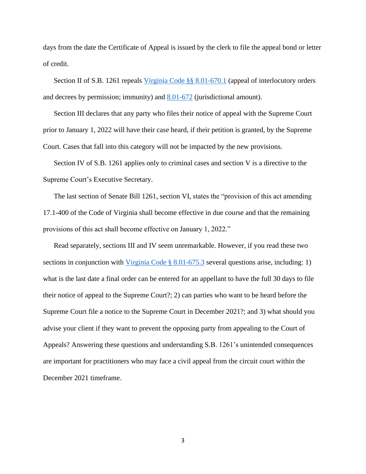days from the date the Certificate of Appeal is issued by the clerk to file the appeal bond or letter of credit.

Section II of S.B. 1261 repeals [Virginia Code](https://law.lis.virginia.gov/vacode/8.01-670.1) §§ 8.01-670.1 (appeal of interlocutory orders and decrees by permission; immunity) and [8.01-672](https://law.lis.virginia.gov/vacode/title8.01/chapter26/section8.01-672/) (jurisdictional amount).

Section III declares that any party who files their notice of appeal with the Supreme Court prior to January 1, 2022 will have their case heard, if their petition is granted, by the Supreme Court. Cases that fall into this category will not be impacted by the new provisions.

Section IV of S.B. 1261 applies only to criminal cases and section V is a directive to the Supreme Court's Executive Secretary.

The last section of Senate Bill 1261, section VI, states the "provision of this act amending 17.1-400 of the Code of Virginia shall become effective in due course and that the remaining provisions of this act shall become effective on January 1, 2022."

Read separately, sections III and IV seem unremarkable. However, if you read these two sections in conjunction with Virginia Code  $\S 8.01-675.3$  $\S 8.01-675.3$  several questions arise, including: 1) what is the last date a final order can be entered for an appellant to have the full 30 days to file their notice of appeal to the Supreme Court?; 2) can parties who want to be heard before the Supreme Court file a notice to the Supreme Court in December 2021?; and 3) what should you advise your client if they want to prevent the opposing party from appealing to the Court of Appeals? Answering these questions and understanding S.B. 1261's unintended consequences are important for practitioners who may face a civil appeal from the circuit court within the December 2021 timeframe.

3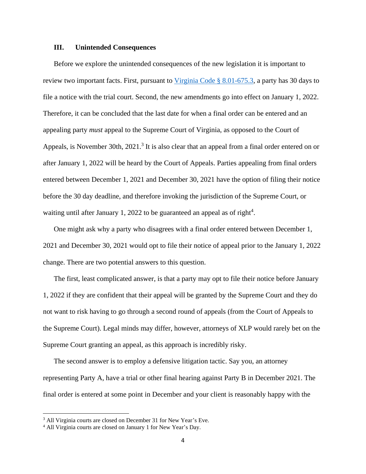# **III. Unintended Consequences**

Before we explore the unintended consequences of the new legislation it is important to review two important facts. First, pursuant to [Virginia Code §](https://law.lis.virginia.gov/vacode/8.01-675.3/#:~:text=Time%20within%20which%20appeal%20must%20be%20taken%3B%20notice.&text=When%20an%20appeal%20from%20an,pursuant%20to%20%C2%A7%2019.2%2D398.) 8.01-675.3, a party has 30 days to file a notice with the trial court. Second, the new amendments go into effect on January 1, 2022. Therefore, it can be concluded that the last date for when a final order can be entered and an appealing party *must* appeal to the Supreme Court of Virginia, as opposed to the Court of Appeals, is November 30th, 2021.<sup>3</sup> It is also clear that an appeal from a final order entered on or after January 1, 2022 will be heard by the Court of Appeals. Parties appealing from final orders entered between December 1, 2021 and December 30, 2021 have the option of filing their notice before the 30 day deadline, and therefore invoking the jurisdiction of the Supreme Court, or waiting until after January 1, 2022 to be guaranteed an appeal as of right<sup>4</sup>.

One might ask why a party who disagrees with a final order entered between December 1, 2021 and December 30, 2021 would opt to file their notice of appeal prior to the January 1, 2022 change. There are two potential answers to this question.

The first, least complicated answer, is that a party may opt to file their notice before January 1, 2022 if they are confident that their appeal will be granted by the Supreme Court and they do not want to risk having to go through a second round of appeals (from the Court of Appeals to the Supreme Court). Legal minds may differ, however, attorneys of XLP would rarely bet on the Supreme Court granting an appeal, as this approach is incredibly risky.

The second answer is to employ a defensive litigation tactic. Say you, an attorney representing Party A, have a trial or other final hearing against Party B in December 2021. The final order is entered at some point in December and your client is reasonably happy with the

<sup>&</sup>lt;sup>3</sup> All Virginia courts are closed on December 31 for New Year's Eve.

<sup>4</sup> All Virginia courts are closed on January 1 for New Year's Day.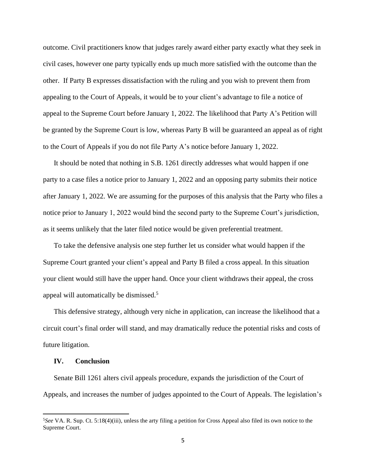outcome. Civil practitioners know that judges rarely award either party exactly what they seek in civil cases, however one party typically ends up much more satisfied with the outcome than the other. If Party B expresses dissatisfaction with the ruling and you wish to prevent them from appealing to the Court of Appeals, it would be to your client's advantage to file a notice of appeal to the Supreme Court before January 1, 2022. The likelihood that Party A's Petition will be granted by the Supreme Court is low, whereas Party B will be guaranteed an appeal as of right to the Court of Appeals if you do not file Party A's notice before January 1, 2022.

It should be noted that nothing in S.B. 1261 directly addresses what would happen if one party to a case files a notice prior to January 1, 2022 and an opposing party submits their notice after January 1, 2022. We are assuming for the purposes of this analysis that the Party who files a notice prior to January 1, 2022 would bind the second party to the Supreme Court's jurisdiction, as it seems unlikely that the later filed notice would be given preferential treatment.

To take the defensive analysis one step further let us consider what would happen if the Supreme Court granted your client's appeal and Party B filed a cross appeal. In this situation your client would still have the upper hand. Once your client withdraws their appeal, the cross appeal will automatically be dismissed.<sup>5</sup>

This defensive strategy, although very niche in application, can increase the likelihood that a circuit court's final order will stand, and may dramatically reduce the potential risks and costs of future litigation.

# **IV. Conclusion**

Senate Bill 1261 alters civil appeals procedure, expands the jurisdiction of the Court of Appeals, and increases the number of judges appointed to the Court of Appeals. The legislation's

<sup>5</sup>*See* VA. R. Sup. Ct. 5:18(4)(iii), unless the arty filing a petition for Cross Appeal also filed its own notice to the Supreme Court.